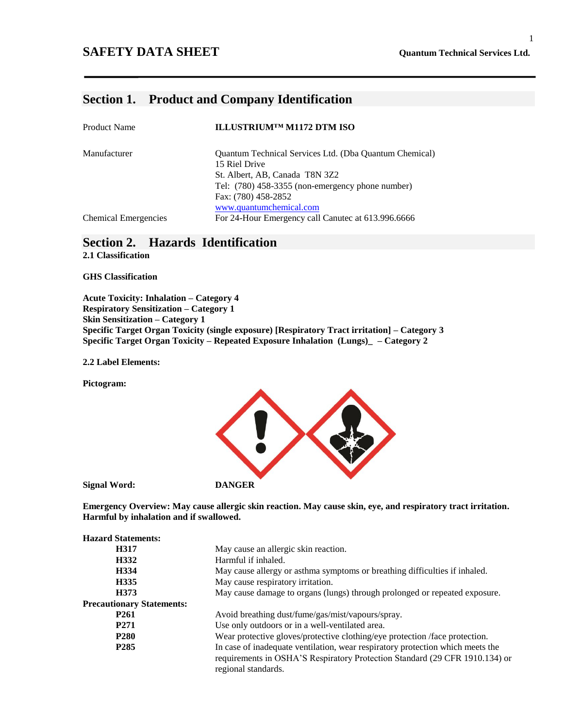#### **SAFETY DATA SHEET Quantum Technical Services Ltd.**

### **Section 1. Product and Company Identification**

| <b>Product Name</b>         | ILLUSTRIUMTM M1172 DTM ISO                                              |
|-----------------------------|-------------------------------------------------------------------------|
| Manufacturer                | Quantum Technical Services Ltd. (Dba Quantum Chemical)<br>15 Riel Drive |
|                             | St. Albert, AB, Canada T8N 3Z2                                          |
|                             | Tel: (780) 458-3355 (non-emergency phone number)                        |
|                             | Fax: (780) 458-2852                                                     |
|                             | www.quantumchemical.com                                                 |
| <b>Chemical Emergencies</b> | For 24-Hour Emergency call Canutec at 613.996.6666                      |

## **Section 2. Hazards Identification**

**2.1 Classification**

**GHS Classification**

**Acute Toxicity: Inhalation – Category 4 Respiratory Sensitization – Category 1 Skin Sensitization – Category 1 Specific Target Organ Toxicity (single exposure) [Respiratory Tract irritation] – Category 3 Specific Target Organ Toxicity – Repeated Exposure Inhalation (Lungs)\_ – Category 2**

**2.2 Label Elements:**

**Pictogram:**



**Emergency Overview: May cause allergic skin reaction. May cause skin, eye, and respiratory tract irritation. Harmful by inhalation and if swallowed.**

| <b>Hazard Statements:</b>        |                                                                                                                                                                                      |
|----------------------------------|--------------------------------------------------------------------------------------------------------------------------------------------------------------------------------------|
| H317                             | May cause an allergic skin reaction.                                                                                                                                                 |
| H332                             | Harmful if inhaled.                                                                                                                                                                  |
| H334                             | May cause allergy or asthma symptoms or breathing difficulties if inhaled.                                                                                                           |
| H335                             | May cause respiratory irritation.                                                                                                                                                    |
| H373                             | May cause damage to organs (lungs) through prolonged or repeated exposure.                                                                                                           |
| <b>Precautionary Statements:</b> |                                                                                                                                                                                      |
| P <sub>261</sub>                 | Avoid breathing dust/fume/gas/mist/vapours/spray.                                                                                                                                    |
| P <sub>271</sub>                 | Use only outdoors or in a well-ventilated area.                                                                                                                                      |
| <b>P280</b>                      | Wear protective gloves/protective clothing/eye protection /face protection.                                                                                                          |
| P <sub>2</sub> 85                | In case of inadequate ventilation, wear respiratory protection which meets the<br>requirements in OSHA'S Respiratory Protection Standard (29 CFR 1910.134) or<br>regional standards. |

#### 1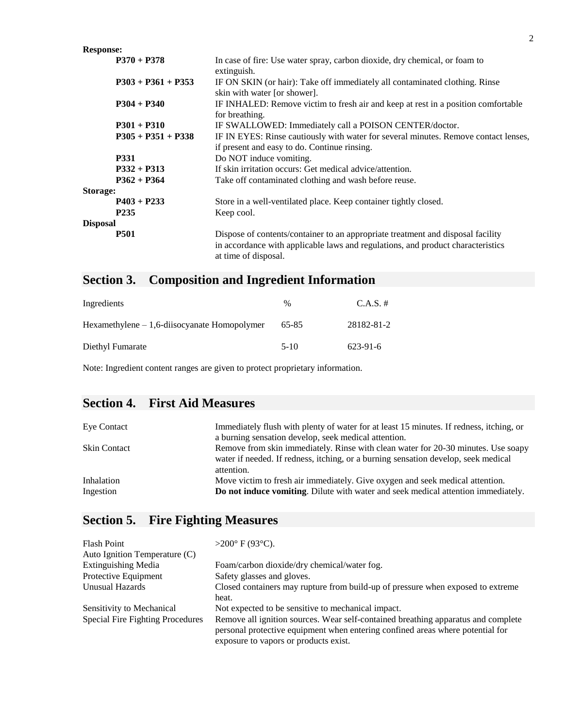| <b>Response:</b>     |                                                                                                                                                                                            |
|----------------------|--------------------------------------------------------------------------------------------------------------------------------------------------------------------------------------------|
| $P370 + P378$        | In case of fire: Use water spray, carbon dioxide, dry chemical, or foam to<br>extinguish.                                                                                                  |
| $P303 + P361 + P353$ | IF ON SKIN (or hair): Take off immediately all contaminated clothing. Rinse<br>skin with water [or shower].                                                                                |
| $P304 + P340$        | IF INHALED: Remove victim to fresh air and keep at rest in a position comfortable<br>for breathing.                                                                                        |
| $P301 + P310$        | IF SWALLOWED: Immediately call a POISON CENTER/doctor.                                                                                                                                     |
| $P305 + P351 + P338$ | IF IN EYES: Rinse cautiously with water for several minutes. Remove contact lenses,<br>if present and easy to do. Continue rinsing.                                                        |
| <b>P331</b>          | Do NOT induce vomiting.                                                                                                                                                                    |
| $P332 + P313$        | If skin irritation occurs: Get medical advice/attention.                                                                                                                                   |
| $P362 + P364$        | Take off contaminated clothing and wash before reuse.                                                                                                                                      |
| Storage:             |                                                                                                                                                                                            |
| $P403 + P233$        | Store in a well-ventilated place. Keep container tightly closed.                                                                                                                           |
| P <sub>235</sub>     | Keep cool.                                                                                                                                                                                 |
| <b>Disposal</b>      |                                                                                                                                                                                            |
| <b>P501</b>          | Dispose of contents/container to an appropriate treatment and disposal facility<br>in accordance with applicable laws and regulations, and product characteristics<br>at time of disposal. |

# **Section 3. Composition and Ingredient Information**

| Ingredients                                     | %      | $C.A.S. \#$ |
|-------------------------------------------------|--------|-------------|
| $Hexamethylene - 1, 6-diisocyanate Homopolymer$ | 65-85  | 28182-81-2  |
| Diethyl Fumarate                                | $5-10$ | 623-91-6    |

Note: Ingredient content ranges are given to protect proprietary information.

## **Section 4. First Aid Measures**

| Eye Contact             | Immediately flush with plenty of water for at least 15 minutes. If redness, itching, or<br>a burning sensation develop, seek medical attention.                                       |
|-------------------------|---------------------------------------------------------------------------------------------------------------------------------------------------------------------------------------|
| Skin Contact            | Remove from skin immediately. Rinse with clean water for 20-30 minutes. Use soapy<br>water if needed. If redness, itching, or a burning sensation develop, seek medical<br>attention. |
| Inhalation<br>Ingestion | Move victim to fresh air immediately. Give oxygen and seek medical attention.<br>Do not induce vomiting. Dilute with water and seek medical attention immediately.                    |

# **Section 5. Fire Fighting Measures**

| Flash Point                      | $>200^{\circ}$ F (93 $^{\circ}$ C).                                                                                                                                 |
|----------------------------------|---------------------------------------------------------------------------------------------------------------------------------------------------------------------|
| Auto Ignition Temperature (C)    |                                                                                                                                                                     |
| <b>Extinguishing Media</b>       | Foam/carbon dioxide/dry chemical/water fog.                                                                                                                         |
| Protective Equipment             | Safety glasses and gloves.                                                                                                                                          |
| Unusual Hazards                  | Closed containers may rupture from build-up of pressure when exposed to extreme                                                                                     |
|                                  | heat.                                                                                                                                                               |
| Sensitivity to Mechanical        | Not expected to be sensitive to mechanical impact.                                                                                                                  |
| Special Fire Fighting Procedures | Remove all ignition sources. Wear self-contained breathing apparatus and complete<br>personal protective equipment when entering confined areas where potential for |
|                                  | exposure to vapors or products exist.                                                                                                                               |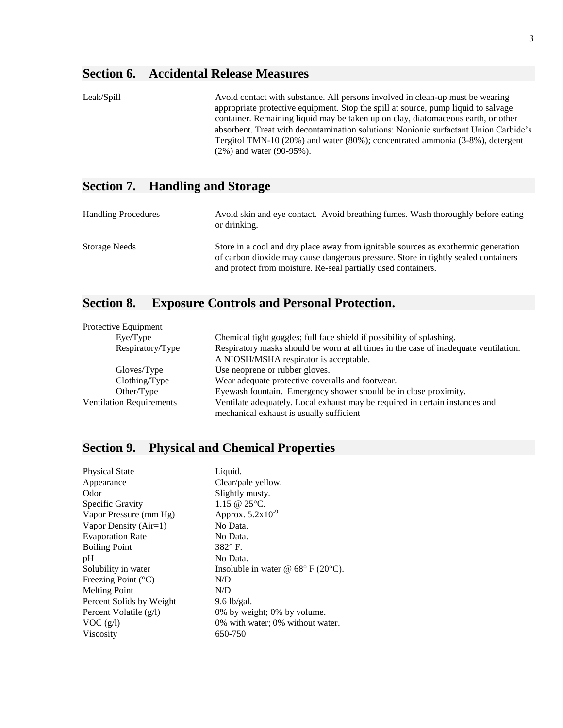## **Section 6. Accidental Release Measures**

| Leak/Spill | Avoid contact with substance. All persons involved in clean-up must be wearing<br>appropriate protective equipment. Stop the spill at source, pump liquid to salvage<br>container. Remaining liquid may be taken up on clay, diatomaceous earth, or other<br>absorbent. Treat with decontamination solutions: Nonionic surfactant Union Carbide's<br>Tergitol TMN-10 (20%) and water (80%); concentrated ammonia (3-8%), detergent |
|------------|------------------------------------------------------------------------------------------------------------------------------------------------------------------------------------------------------------------------------------------------------------------------------------------------------------------------------------------------------------------------------------------------------------------------------------|
|            | $(2\%)$ and water $(90-95\%)$ .                                                                                                                                                                                                                                                                                                                                                                                                    |

## **Section 7. Handling and Storage**

| <b>Handling Procedures</b> | Avoid skin and eye contact. Avoid breathing fumes. Wash thoroughly before eating<br>or drinking.                                                                         |
|----------------------------|--------------------------------------------------------------------------------------------------------------------------------------------------------------------------|
| Storage Needs              | Store in a cool and dry place away from ignitable sources as exothermic generation<br>of carbon dioxide may cause dangerous pressure. Store in tightly sealed containers |
|                            | and protect from moisture. Re-seal partially used containers.                                                                                                            |

## **Section 8. Exposure Controls and Personal Protection.**

| Protective Equipment            |                                                                                      |
|---------------------------------|--------------------------------------------------------------------------------------|
| Eve/Type                        | Chemical tight goggles; full face shield if possibility of splashing.                |
| Respiratory/Type                | Respiratory masks should be worn at all times in the case of inadequate ventilation. |
|                                 | A NIOSH/MSHA respirator is acceptable.                                               |
| Gloves/Type                     | Use neoprene or rubber gloves.                                                       |
| Clothing/Type                   | Wear adequate protective coveralls and footwear.                                     |
| Other/Type                      | Eyewash fountain. Emergency shower should be in close proximity.                     |
| <b>Ventilation Requirements</b> | Ventilate adequately. Local exhaust may be required in certain instances and         |
|                                 | mechanical exhaust is usually sufficient                                             |

# **Section 9. Physical and Chemical Properties**

| <b>Physical State</b>        | Liquid.                                                |
|------------------------------|--------------------------------------------------------|
| Appearance                   | Clear/pale yellow.                                     |
| Odor                         | Slightly musty.                                        |
| Specific Gravity             | 1.15 @ 25°C.                                           |
| Vapor Pressure (mm Hg)       | Approx. $5.2 \times 10^{-9}$                           |
| Vapor Density $(Air=1)$      | No Data.                                               |
| <b>Evaporation Rate</b>      | No Data.                                               |
| <b>Boiling Point</b>         | $382^\circ$ F.                                         |
| pH                           | No Data.                                               |
| Solubility in water          | Insoluble in water @ $68^{\circ}$ F (20 $^{\circ}$ C). |
| Freezing Point $(^{\circ}C)$ | N/D                                                    |
| <b>Melting Point</b>         | N/D                                                    |
| Percent Solids by Weight     | $9.6$ lb/gal.                                          |
| Percent Volatile (g/l)       | 0% by weight; 0% by volume.                            |
| VOC(g/l)                     | 0% with water; 0% without water.                       |
| <b>Viscosity</b>             | 650-750                                                |
|                              |                                                        |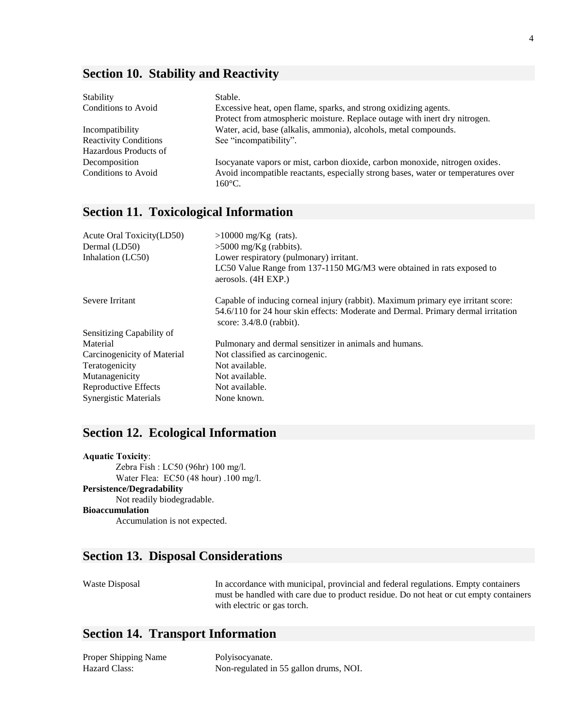## **Section 10. Stability and Reactivity**

| Stability                    | Stable.                                                                                               |
|------------------------------|-------------------------------------------------------------------------------------------------------|
| Conditions to Avoid          | Excessive heat, open flame, sparks, and strong oxidizing agents.                                      |
|                              | Protect from atmospheric moisture. Replace outage with inert dry nitrogen.                            |
| Incompatibility              | Water, acid, base (alkalis, ammonia), alcohols, metal compounds.                                      |
| <b>Reactivity Conditions</b> | See "incompatibility".                                                                                |
| Hazardous Products of        |                                                                                                       |
| Decomposition                | Isocyanate vapors or mist, carbon dioxide, carbon monoxide, nitrogen oxides.                          |
| Conditions to Avoid          | Avoid incompatible reactants, especially strong bases, water or temperatures over<br>$160^{\circ}$ C. |

## **Section 11. Toxicological Information**

| Acute Oral Toxicity(LD50)    | $>10000$ mg/Kg (rats).                                                                                                                                                                              |
|------------------------------|-----------------------------------------------------------------------------------------------------------------------------------------------------------------------------------------------------|
| Dermal (LD50)                | $>5000$ mg/Kg (rabbits).                                                                                                                                                                            |
| Inhalation (LC50)            | Lower respiratory (pulmonary) irritant.                                                                                                                                                             |
|                              | LC50 Value Range from 137-1150 MG/M3 were obtained in rats exposed to<br>aerosols. (4H EXP.)                                                                                                        |
| Severe Irritant              | Capable of inducing corneal injury (rabbit). Maximum primary eye irritant score:<br>54.6/110 for 24 hour skin effects: Moderate and Dermal. Primary dermal irritation<br>score: $3.4/8.0$ (rabbit). |
| Sensitizing Capability of    |                                                                                                                                                                                                     |
| Material                     | Pulmonary and dermal sensitizer in animals and humans.                                                                                                                                              |
| Carcinogenicity of Material  | Not classified as carcinogenic.                                                                                                                                                                     |
| Teratogenicity               | Not available.                                                                                                                                                                                      |
| Mutanagenicity               | Not available.                                                                                                                                                                                      |
| Reproductive Effects         | Not available.                                                                                                                                                                                      |
| <b>Synergistic Materials</b> | None known.                                                                                                                                                                                         |

## **Section 12. Ecological Information**

| <b>Aquatic Toxicity:</b>              |
|---------------------------------------|
| Zebra Fish : LC50 (96hr) 100 mg/l.    |
| Water Flea: EC50 (48 hour) .100 mg/l. |
| Persistence/Degradability             |
| Not readily biodegradable.            |
| Bioaccumulation                       |
| Accumulation is not expected.         |
|                                       |

## **Section 13. Disposal Considerations**

Waste Disposal In accordance with municipal, provincial and federal regulations. Empty containers must be handled with care due to product residue. Do not heat or cut empty containers with electric or gas torch.

## **Section 14. Transport Information**

| Proper Shipping Name | Polyisocyanate.                        |
|----------------------|----------------------------------------|
| Hazard Class:        | Non-regulated in 55 gallon drums, NOI. |